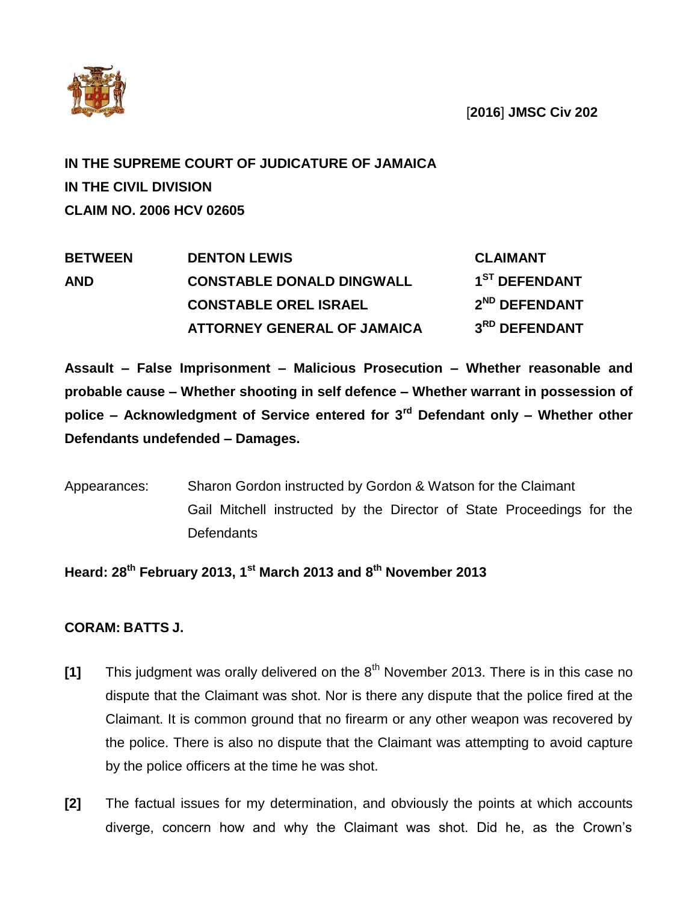

[**2016**] **JMSC Civ 202**

## **IN THE SUPREME COURT OF JUDICATURE OF JAMAICA IN THE CIVIL DIVISION CLAIM NO. 2006 HCV 02605**

| <b>BETWEEN</b> | <b>DENTON LEWIS</b>              | <b>CLAIMANT</b>           |
|----------------|----------------------------------|---------------------------|
| <b>AND</b>     | <b>CONSTABLE DONALD DINGWALL</b> | 1 <sup>ST</sup> DEFENDANT |
|                | <b>CONSTABLE OREL ISRAEL</b>     | 2 <sup>ND</sup> DEFENDANT |
|                | ATTORNEY GENERAL OF JAMAICA      | 3RD DEFENDANT             |

**Assault – False Imprisonment – Malicious Prosecution – Whether reasonable and probable cause – Whether shooting in self defence – Whether warrant in possession of police – Acknowledgment of Service entered for 3rd Defendant only – Whether other Defendants undefended – Damages.**

Appearances: Sharon Gordon instructed by Gordon & Watson for the Claimant Gail Mitchell instructed by the Director of State Proceedings for the Defendants

## **Heard: 28th February 2013, 1st March 2013 and 8 th November 2013**

## **CORAM: BATTS J.**

- **[1]** This judgment was orally delivered on the 8th November 2013. There is in this case no dispute that the Claimant was shot. Nor is there any dispute that the police fired at the Claimant. It is common ground that no firearm or any other weapon was recovered by the police. There is also no dispute that the Claimant was attempting to avoid capture by the police officers at the time he was shot.
- **[2]** The factual issues for my determination, and obviously the points at which accounts diverge, concern how and why the Claimant was shot. Did he, as the Crown's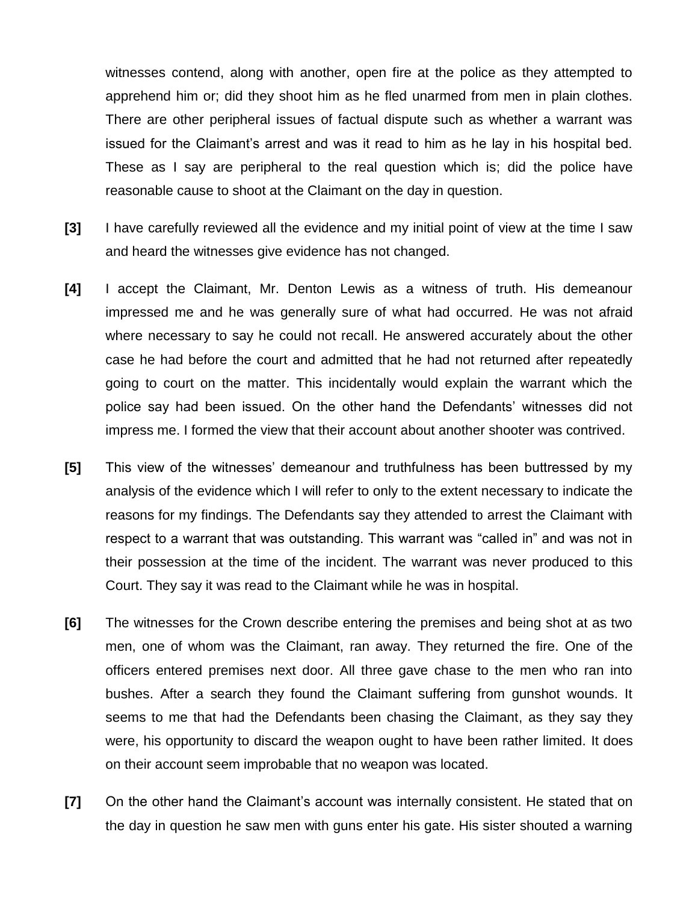witnesses contend, along with another, open fire at the police as they attempted to apprehend him or; did they shoot him as he fled unarmed from men in plain clothes. There are other peripheral issues of factual dispute such as whether a warrant was issued for the Claimant's arrest and was it read to him as he lay in his hospital bed. These as I say are peripheral to the real question which is; did the police have reasonable cause to shoot at the Claimant on the day in question.

- **[3]** I have carefully reviewed all the evidence and my initial point of view at the time I saw and heard the witnesses give evidence has not changed.
- **[4]** I accept the Claimant, Mr. Denton Lewis as a witness of truth. His demeanour impressed me and he was generally sure of what had occurred. He was not afraid where necessary to say he could not recall. He answered accurately about the other case he had before the court and admitted that he had not returned after repeatedly going to court on the matter. This incidentally would explain the warrant which the police say had been issued. On the other hand the Defendants' witnesses did not impress me. I formed the view that their account about another shooter was contrived.
- **[5]** This view of the witnesses' demeanour and truthfulness has been buttressed by my analysis of the evidence which I will refer to only to the extent necessary to indicate the reasons for my findings. The Defendants say they attended to arrest the Claimant with respect to a warrant that was outstanding. This warrant was "called in" and was not in their possession at the time of the incident. The warrant was never produced to this Court. They say it was read to the Claimant while he was in hospital.
- **[6]** The witnesses for the Crown describe entering the premises and being shot at as two men, one of whom was the Claimant, ran away. They returned the fire. One of the officers entered premises next door. All three gave chase to the men who ran into bushes. After a search they found the Claimant suffering from gunshot wounds. It seems to me that had the Defendants been chasing the Claimant, as they say they were, his opportunity to discard the weapon ought to have been rather limited. It does on their account seem improbable that no weapon was located.
- **[7]** On the other hand the Claimant's account was internally consistent. He stated that on the day in question he saw men with guns enter his gate. His sister shouted a warning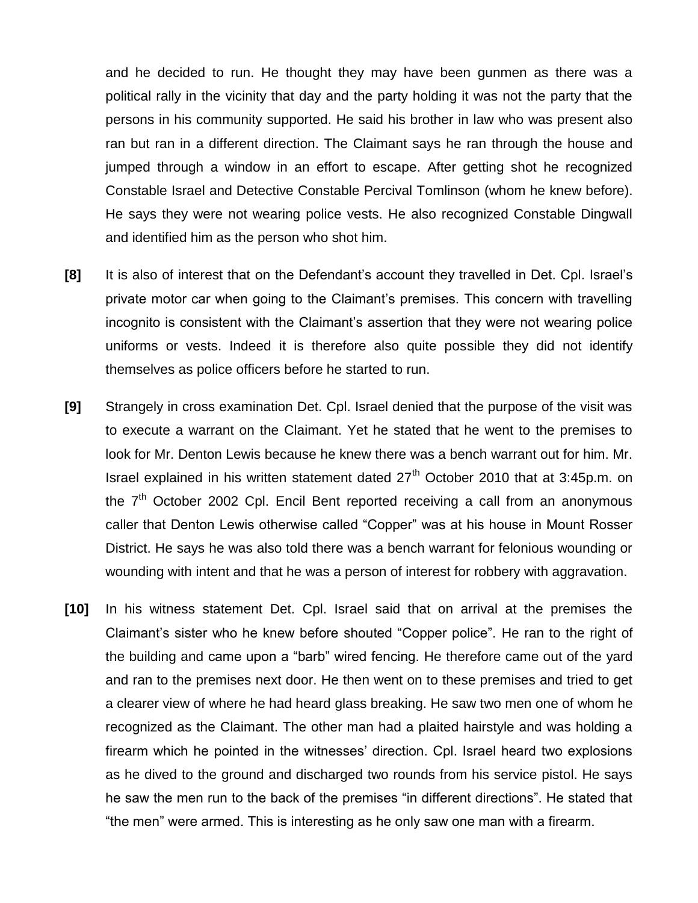and he decided to run. He thought they may have been gunmen as there was a political rally in the vicinity that day and the party holding it was not the party that the persons in his community supported. He said his brother in law who was present also ran but ran in a different direction. The Claimant says he ran through the house and jumped through a window in an effort to escape. After getting shot he recognized Constable Israel and Detective Constable Percival Tomlinson (whom he knew before). He says they were not wearing police vests. He also recognized Constable Dingwall and identified him as the person who shot him.

- **[8]** It is also of interest that on the Defendant's account they travelled in Det. Cpl. Israel's private motor car when going to the Claimant's premises. This concern with travelling incognito is consistent with the Claimant's assertion that they were not wearing police uniforms or vests. Indeed it is therefore also quite possible they did not identify themselves as police officers before he started to run.
- **[9]** Strangely in cross examination Det. Cpl. Israel denied that the purpose of the visit was to execute a warrant on the Claimant. Yet he stated that he went to the premises to look for Mr. Denton Lewis because he knew there was a bench warrant out for him. Mr. Israel explained in his written statement dated  $27<sup>th</sup>$  October 2010 that at 3:45p.m. on the  $7<sup>th</sup>$  October 2002 Cpl. Encil Bent reported receiving a call from an anonymous caller that Denton Lewis otherwise called "Copper" was at his house in Mount Rosser District. He says he was also told there was a bench warrant for felonious wounding or wounding with intent and that he was a person of interest for robbery with aggravation.
- **[10]** In his witness statement Det. Cpl. Israel said that on arrival at the premises the Claimant's sister who he knew before shouted "Copper police". He ran to the right of the building and came upon a "barb" wired fencing. He therefore came out of the yard and ran to the premises next door. He then went on to these premises and tried to get a clearer view of where he had heard glass breaking. He saw two men one of whom he recognized as the Claimant. The other man had a plaited hairstyle and was holding a firearm which he pointed in the witnesses' direction. Cpl. Israel heard two explosions as he dived to the ground and discharged two rounds from his service pistol. He says he saw the men run to the back of the premises "in different directions". He stated that "the men" were armed. This is interesting as he only saw one man with a firearm.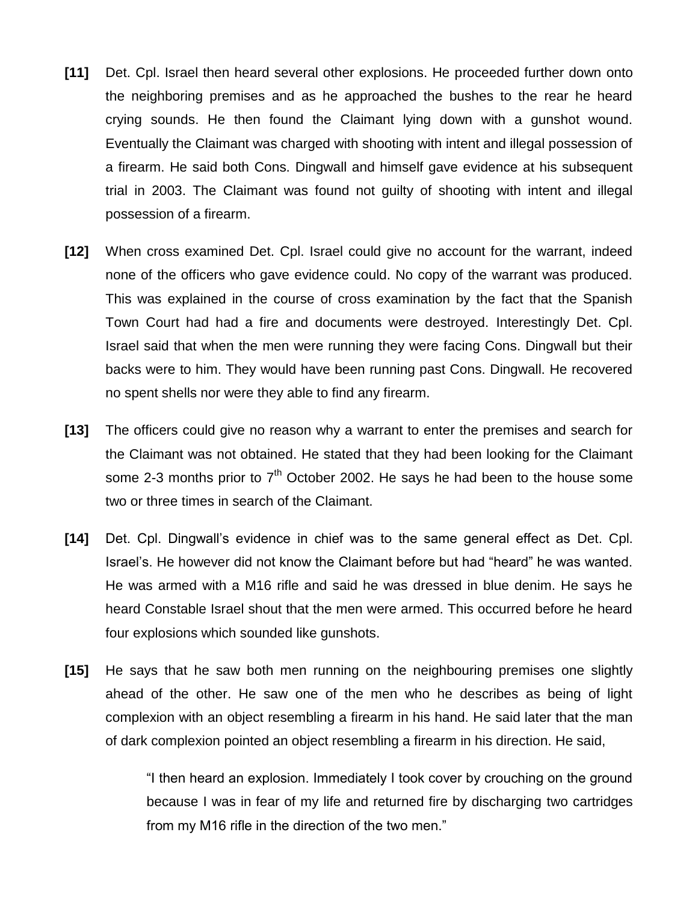- **[11]** Det. Cpl. Israel then heard several other explosions. He proceeded further down onto the neighboring premises and as he approached the bushes to the rear he heard crying sounds. He then found the Claimant lying down with a gunshot wound. Eventually the Claimant was charged with shooting with intent and illegal possession of a firearm. He said both Cons. Dingwall and himself gave evidence at his subsequent trial in 2003. The Claimant was found not guilty of shooting with intent and illegal possession of a firearm.
- **[12]** When cross examined Det. Cpl. Israel could give no account for the warrant, indeed none of the officers who gave evidence could. No copy of the warrant was produced. This was explained in the course of cross examination by the fact that the Spanish Town Court had had a fire and documents were destroyed. Interestingly Det. Cpl. Israel said that when the men were running they were facing Cons. Dingwall but their backs were to him. They would have been running past Cons. Dingwall. He recovered no spent shells nor were they able to find any firearm.
- **[13]** The officers could give no reason why a warrant to enter the premises and search for the Claimant was not obtained. He stated that they had been looking for the Claimant some 2-3 months prior to  $7<sup>th</sup>$  October 2002. He says he had been to the house some two or three times in search of the Claimant.
- **[14]** Det. Cpl. Dingwall's evidence in chief was to the same general effect as Det. Cpl. Israel's. He however did not know the Claimant before but had "heard" he was wanted. He was armed with a M16 rifle and said he was dressed in blue denim. He says he heard Constable Israel shout that the men were armed. This occurred before he heard four explosions which sounded like gunshots.
- **[15]** He says that he saw both men running on the neighbouring premises one slightly ahead of the other. He saw one of the men who he describes as being of light complexion with an object resembling a firearm in his hand. He said later that the man of dark complexion pointed an object resembling a firearm in his direction. He said,

"I then heard an explosion. Immediately I took cover by crouching on the ground because I was in fear of my life and returned fire by discharging two cartridges from my M16 rifle in the direction of the two men."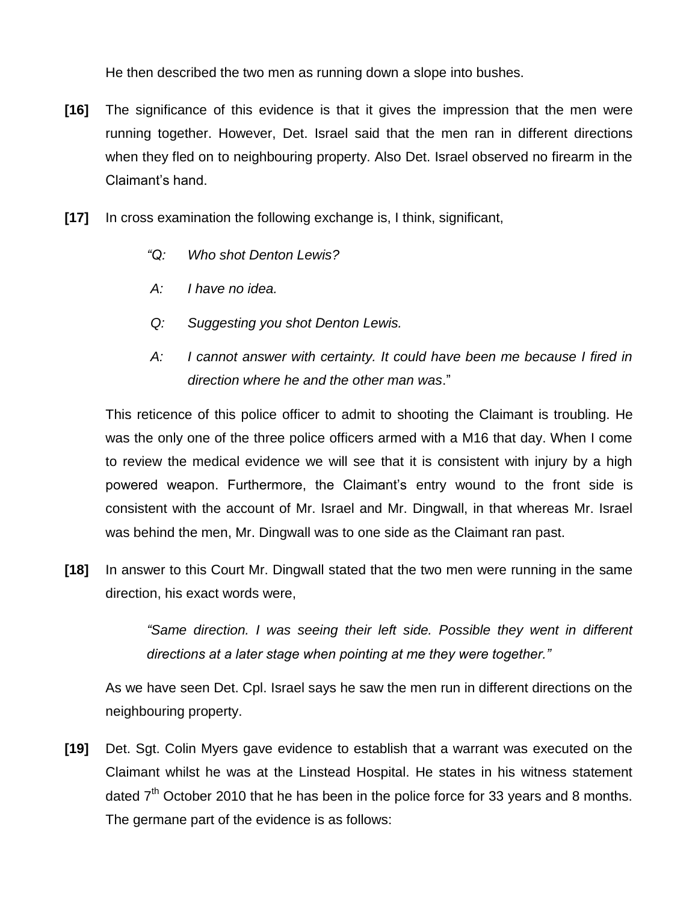He then described the two men as running down a slope into bushes.

- **[16]** The significance of this evidence is that it gives the impression that the men were running together. However, Det. Israel said that the men ran in different directions when they fled on to neighbouring property. Also Det. Israel observed no firearm in the Claimant's hand.
- **[17]** In cross examination the following exchange is, I think, significant,
	- *"Q: Who shot Denton Lewis?*
	- *A: I have no idea.*
	- *Q: Suggesting you shot Denton Lewis.*
	- *A: I cannot answer with certainty. It could have been me because I fired in direction where he and the other man was*."

This reticence of this police officer to admit to shooting the Claimant is troubling. He was the only one of the three police officers armed with a M16 that day. When I come to review the medical evidence we will see that it is consistent with injury by a high powered weapon. Furthermore, the Claimant's entry wound to the front side is consistent with the account of Mr. Israel and Mr. Dingwall, in that whereas Mr. Israel was behind the men, Mr. Dingwall was to one side as the Claimant ran past.

**[18]** In answer to this Court Mr. Dingwall stated that the two men were running in the same direction, his exact words were,

> *"Same direction. I was seeing their left side. Possible they went in different directions at a later stage when pointing at me they were together."*

As we have seen Det. Cpl. Israel says he saw the men run in different directions on the neighbouring property.

**[19]** Det. Sgt. Colin Myers gave evidence to establish that a warrant was executed on the Claimant whilst he was at the Linstead Hospital. He states in his witness statement dated  $7<sup>th</sup>$  October 2010 that he has been in the police force for 33 years and 8 months. The germane part of the evidence is as follows: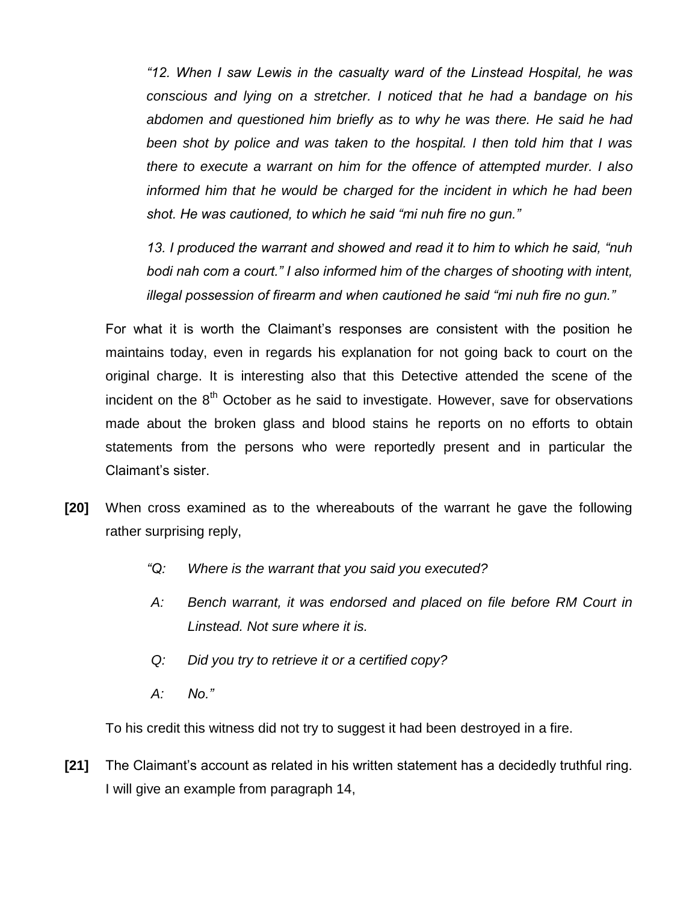*"12. When I saw Lewis in the casualty ward of the Linstead Hospital, he was conscious and lying on a stretcher. I noticed that he had a bandage on his abdomen and questioned him briefly as to why he was there. He said he had been shot by police and was taken to the hospital. I then told him that I was there to execute a warrant on him for the offence of attempted murder. I also informed him that he would be charged for the incident in which he had been shot. He was cautioned, to which he said "mi nuh fire no gun."*

*13. I produced the warrant and showed and read it to him to which he said, "nuh bodi nah com a court." I also informed him of the charges of shooting with intent, illegal possession of firearm and when cautioned he said "mi nuh fire no gun."*

For what it is worth the Claimant's responses are consistent with the position he maintains today, even in regards his explanation for not going back to court on the original charge. It is interesting also that this Detective attended the scene of the incident on the  $8<sup>th</sup>$  October as he said to investigate. However, save for observations made about the broken glass and blood stains he reports on no efforts to obtain statements from the persons who were reportedly present and in particular the Claimant's sister.

- **[20]** When cross examined as to the whereabouts of the warrant he gave the following rather surprising reply,
	- *"Q: Where is the warrant that you said you executed?*
	- *A: Bench warrant, it was endorsed and placed on file before RM Court in Linstead. Not sure where it is.*
	- *Q: Did you try to retrieve it or a certified copy?*
	- *A: No."*

To his credit this witness did not try to suggest it had been destroyed in a fire.

**[21]** The Claimant's account as related in his written statement has a decidedly truthful ring. I will give an example from paragraph 14,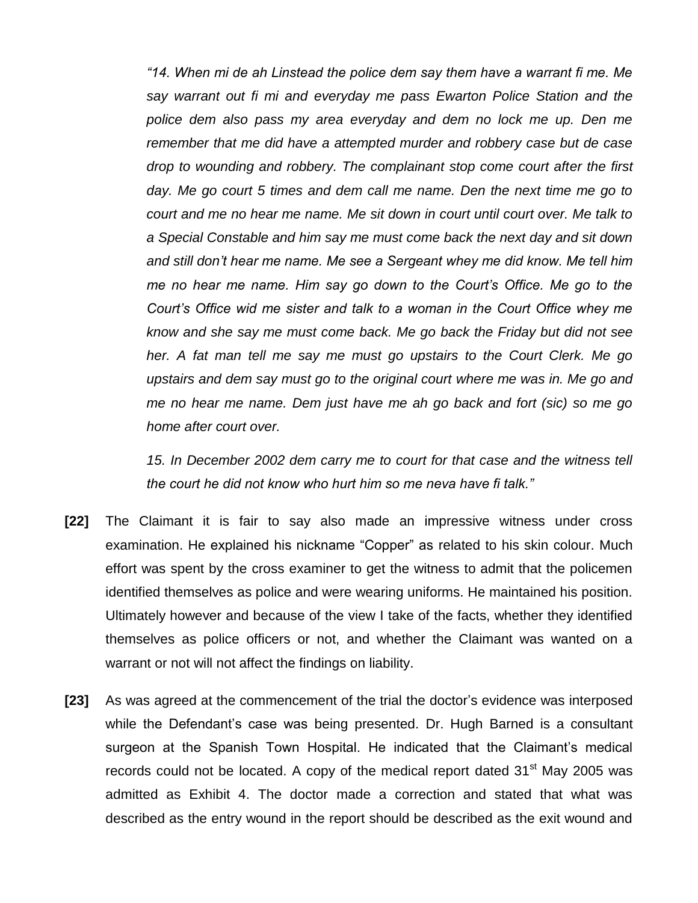*"14. When mi de ah Linstead the police dem say them have a warrant fi me. Me say warrant out fi mi and everyday me pass Ewarton Police Station and the police dem also pass my area everyday and dem no lock me up. Den me remember that me did have a attempted murder and robbery case but de case drop to wounding and robbery. The complainant stop come court after the first day. Me go court 5 times and dem call me name. Den the next time me go to court and me no hear me name. Me sit down in court until court over. Me talk to a Special Constable and him say me must come back the next day and sit down and still don't hear me name. Me see a Sergeant whey me did know. Me tell him me no hear me name. Him say go down to the Court's Office. Me go to the Court's Office wid me sister and talk to a woman in the Court Office whey me know and she say me must come back. Me go back the Friday but did not see her. A fat man tell me say me must go upstairs to the Court Clerk. Me go upstairs and dem say must go to the original court where me was in. Me go and me no hear me name. Dem just have me ah go back and fort (sic) so me go home after court over.*

*15. In December 2002 dem carry me to court for that case and the witness tell the court he did not know who hurt him so me neva have fi talk."*

- **[22]** The Claimant it is fair to say also made an impressive witness under cross examination. He explained his nickname "Copper" as related to his skin colour. Much effort was spent by the cross examiner to get the witness to admit that the policemen identified themselves as police and were wearing uniforms. He maintained his position. Ultimately however and because of the view I take of the facts, whether they identified themselves as police officers or not, and whether the Claimant was wanted on a warrant or not will not affect the findings on liability.
- **[23]** As was agreed at the commencement of the trial the doctor's evidence was interposed while the Defendant's case was being presented. Dr. Hugh Barned is a consultant surgeon at the Spanish Town Hospital. He indicated that the Claimant's medical records could not be located. A copy of the medical report dated  $31<sup>st</sup>$  May 2005 was admitted as Exhibit 4. The doctor made a correction and stated that what was described as the entry wound in the report should be described as the exit wound and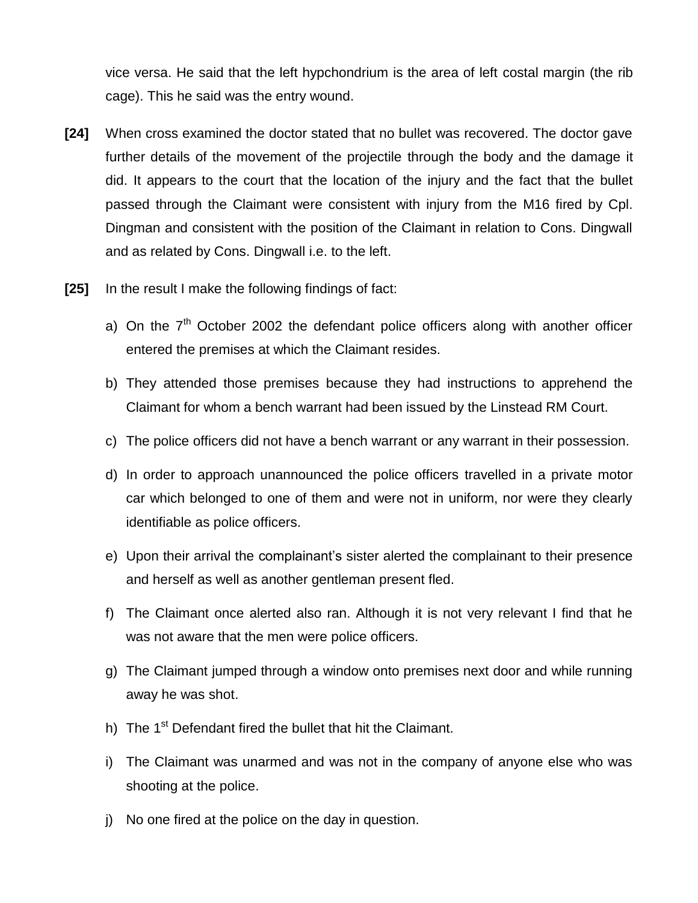vice versa. He said that the left hypchondrium is the area of left costal margin (the rib cage). This he said was the entry wound.

- **[24]** When cross examined the doctor stated that no bullet was recovered. The doctor gave further details of the movement of the projectile through the body and the damage it did. It appears to the court that the location of the injury and the fact that the bullet passed through the Claimant were consistent with injury from the M16 fired by Cpl. Dingman and consistent with the position of the Claimant in relation to Cons. Dingwall and as related by Cons. Dingwall i.e. to the left.
- **[25]** In the result I make the following findings of fact:
	- a) On the  $7<sup>th</sup>$  October 2002 the defendant police officers along with another officer entered the premises at which the Claimant resides.
	- b) They attended those premises because they had instructions to apprehend the Claimant for whom a bench warrant had been issued by the Linstead RM Court.
	- c) The police officers did not have a bench warrant or any warrant in their possession.
	- d) In order to approach unannounced the police officers travelled in a private motor car which belonged to one of them and were not in uniform, nor were they clearly identifiable as police officers.
	- e) Upon their arrival the complainant's sister alerted the complainant to their presence and herself as well as another gentleman present fled.
	- f) The Claimant once alerted also ran. Although it is not very relevant I find that he was not aware that the men were police officers.
	- g) The Claimant jumped through a window onto premises next door and while running away he was shot.
	- h) The 1<sup>st</sup> Defendant fired the bullet that hit the Claimant.
	- i) The Claimant was unarmed and was not in the company of anyone else who was shooting at the police.
	- j) No one fired at the police on the day in question.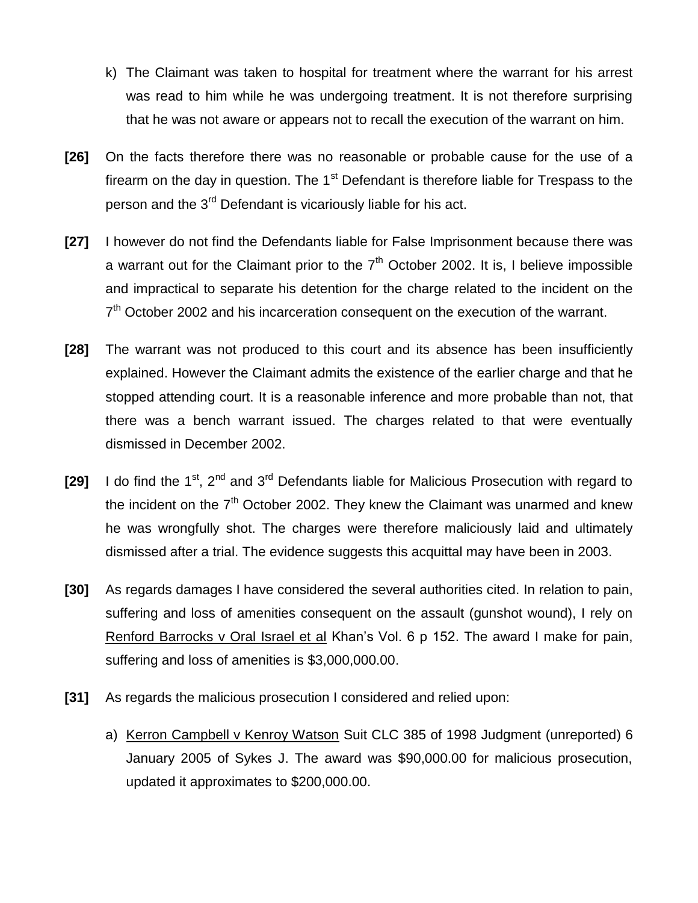- k) The Claimant was taken to hospital for treatment where the warrant for his arrest was read to him while he was undergoing treatment. It is not therefore surprising that he was not aware or appears not to recall the execution of the warrant on him.
- **[26]** On the facts therefore there was no reasonable or probable cause for the use of a firearm on the day in question. The  $1<sup>st</sup>$  Defendant is therefore liable for Trespass to the person and the 3rd Defendant is vicariously liable for his act.
- **[27]** I however do not find the Defendants liable for False Imprisonment because there was a warrant out for the Claimant prior to the  $7<sup>th</sup>$  October 2002. It is, I believe impossible and impractical to separate his detention for the charge related to the incident on the 7<sup>th</sup> October 2002 and his incarceration consequent on the execution of the warrant.
- **[28]** The warrant was not produced to this court and its absence has been insufficiently explained. However the Claimant admits the existence of the earlier charge and that he stopped attending court. It is a reasonable inference and more probable than not, that there was a bench warrant issued. The charges related to that were eventually dismissed in December 2002.
- **[29]** I do find the 1<sup>st</sup>, 2<sup>nd</sup> and 3<sup>rd</sup> Defendants liable for Malicious Prosecution with regard to the incident on the  $7<sup>th</sup>$  October 2002. They knew the Claimant was unarmed and knew he was wrongfully shot. The charges were therefore maliciously laid and ultimately dismissed after a trial. The evidence suggests this acquittal may have been in 2003.
- **[30]** As regards damages I have considered the several authorities cited. In relation to pain, suffering and loss of amenities consequent on the assault (gunshot wound), I rely on Renford Barrocks v Oral Israel et al Khan's Vol. 6 p 152. The award I make for pain, suffering and loss of amenities is \$3,000,000.00.
- **[31]** As regards the malicious prosecution I considered and relied upon:
	- a) Kerron Campbell v Kenroy Watson Suit CLC 385 of 1998 Judgment (unreported) 6 January 2005 of Sykes J. The award was \$90,000.00 for malicious prosecution, updated it approximates to \$200,000.00.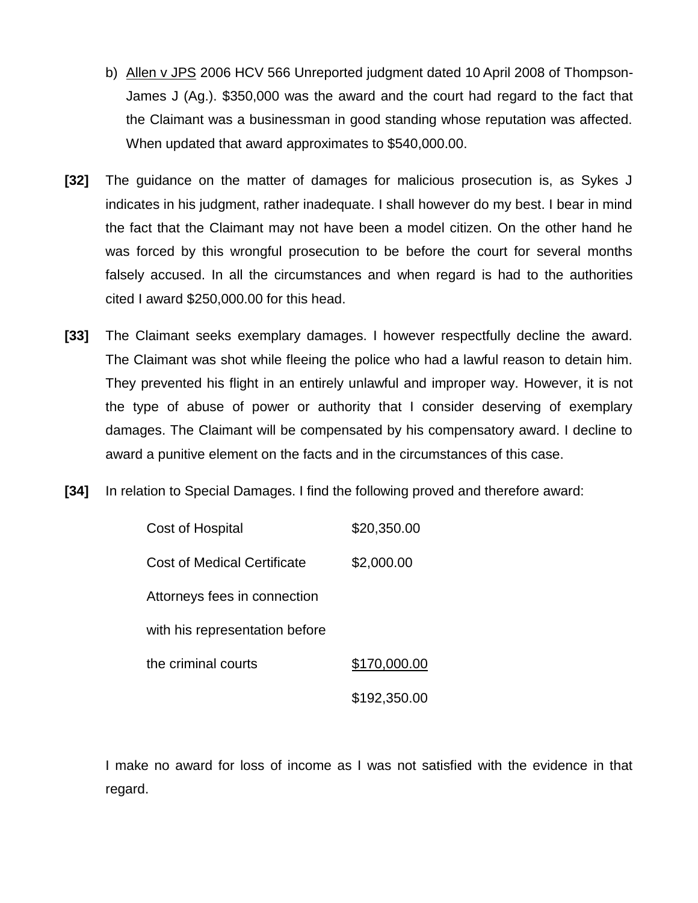- b) Allen v JPS 2006 HCV 566 Unreported judgment dated 10 April 2008 of Thompson-James J (Ag.). \$350,000 was the award and the court had regard to the fact that the Claimant was a businessman in good standing whose reputation was affected. When updated that award approximates to \$540,000.00.
- **[32]** The guidance on the matter of damages for malicious prosecution is, as Sykes J indicates in his judgment, rather inadequate. I shall however do my best. I bear in mind the fact that the Claimant may not have been a model citizen. On the other hand he was forced by this wrongful prosecution to be before the court for several months falsely accused. In all the circumstances and when regard is had to the authorities cited I award \$250,000.00 for this head.
- **[33]** The Claimant seeks exemplary damages. I however respectfully decline the award. The Claimant was shot while fleeing the police who had a lawful reason to detain him. They prevented his flight in an entirely unlawful and improper way. However, it is not the type of abuse of power or authority that I consider deserving of exemplary damages. The Claimant will be compensated by his compensatory award. I decline to award a punitive element on the facts and in the circumstances of this case.
- **[34]** In relation to Special Damages. I find the following proved and therefore award:

| Cost of Hospital               | \$20,350.00  |  |
|--------------------------------|--------------|--|
| Cost of Medical Certificate    | \$2,000.00   |  |
| Attorneys fees in connection   |              |  |
| with his representation before |              |  |
| the criminal courts            | \$170,000.00 |  |
|                                | \$192,350.00 |  |

I make no award for loss of income as I was not satisfied with the evidence in that regard.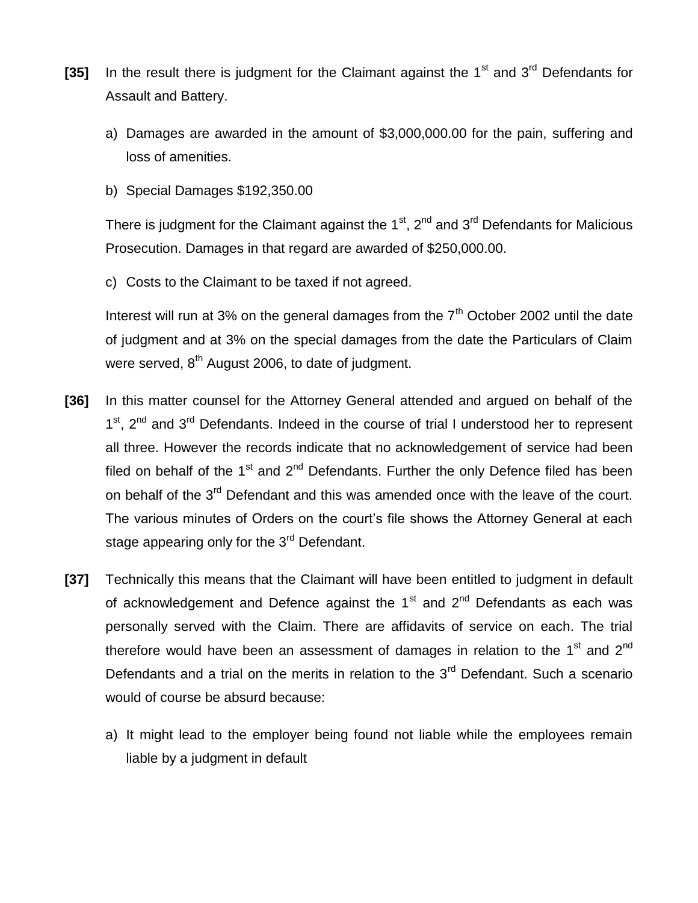- **[35]** In the result there is judgment for the Claimant against the 1<sup>st</sup> and 3<sup>rd</sup> Defendants for Assault and Battery.
	- a) Damages are awarded in the amount of \$3,000,000.00 for the pain, suffering and loss of amenities.
	- b) Special Damages \$192,350.00

There is judgment for the Claimant against the  $1<sup>st</sup>$ ,  $2<sup>nd</sup>$  and  $3<sup>rd</sup>$  Defendants for Malicious Prosecution. Damages in that regard are awarded of \$250,000.00.

c) Costs to the Claimant to be taxed if not agreed.

Interest will run at 3% on the general damages from the  $7<sup>th</sup>$  October 2002 until the date of judgment and at 3% on the special damages from the date the Particulars of Claim were served,  $8<sup>th</sup>$  August 2006, to date of judgment.

- **[36]** In this matter counsel for the Attorney General attended and argued on behalf of the 1<sup>st</sup>, 2<sup>nd</sup> and 3<sup>rd</sup> Defendants. Indeed in the course of trial I understood her to represent all three. However the records indicate that no acknowledgement of service had been filed on behalf of the  $1<sup>st</sup>$  and  $2<sup>nd</sup>$  Defendants. Further the only Defence filed has been on behalf of the 3<sup>rd</sup> Defendant and this was amended once with the leave of the court. The various minutes of Orders on the court's file shows the Attorney General at each stage appearing only for the 3<sup>rd</sup> Defendant.
- **[37]** Technically this means that the Claimant will have been entitled to judgment in default of acknowledgement and Defence against the  $1<sup>st</sup>$  and  $2<sup>nd</sup>$  Defendants as each was personally served with the Claim. There are affidavits of service on each. The trial therefore would have been an assessment of damages in relation to the  $1<sup>st</sup>$  and  $2<sup>nd</sup>$ Defendants and a trial on the merits in relation to the 3<sup>rd</sup> Defendant. Such a scenario would of course be absurd because:
	- a) It might lead to the employer being found not liable while the employees remain liable by a judgment in default